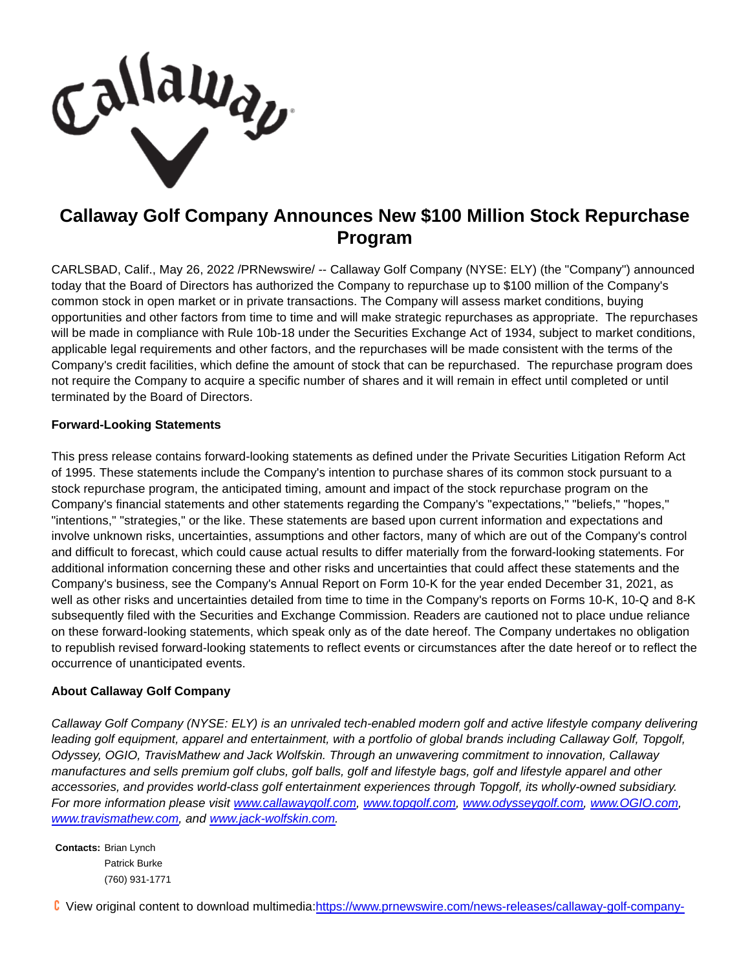Lallaway

## **Callaway Golf Company Announces New \$100 Million Stock Repurchase Program**

CARLSBAD, Calif., May 26, 2022 /PRNewswire/ -- Callaway Golf Company (NYSE: ELY) (the "Company") announced today that the Board of Directors has authorized the Company to repurchase up to \$100 million of the Company's common stock in open market or in private transactions. The Company will assess market conditions, buying opportunities and other factors from time to time and will make strategic repurchases as appropriate. The repurchases will be made in compliance with Rule 10b-18 under the Securities Exchange Act of 1934, subject to market conditions, applicable legal requirements and other factors, and the repurchases will be made consistent with the terms of the Company's credit facilities, which define the amount of stock that can be repurchased. The repurchase program does not require the Company to acquire a specific number of shares and it will remain in effect until completed or until terminated by the Board of Directors.

## **Forward-Looking Statements**

This press release contains forward-looking statements as defined under the Private Securities Litigation Reform Act of 1995. These statements include the Company's intention to purchase shares of its common stock pursuant to a stock repurchase program, the anticipated timing, amount and impact of the stock repurchase program on the Company's financial statements and other statements regarding the Company's "expectations," "beliefs," "hopes," "intentions," "strategies," or the like. These statements are based upon current information and expectations and involve unknown risks, uncertainties, assumptions and other factors, many of which are out of the Company's control and difficult to forecast, which could cause actual results to differ materially from the forward-looking statements. For additional information concerning these and other risks and uncertainties that could affect these statements and the Company's business, see the Company's Annual Report on Form 10-K for the year ended December 31, 2021, as well as other risks and uncertainties detailed from time to time in the Company's reports on Forms 10-K, 10-Q and 8-K subsequently filed with the Securities and Exchange Commission. Readers are cautioned not to place undue reliance on these forward-looking statements, which speak only as of the date hereof. The Company undertakes no obligation to republish revised forward-looking statements to reflect events or circumstances after the date hereof or to reflect the occurrence of unanticipated events.

## **About Callaway Golf Company**

Callaway Golf Company (NYSE: ELY) is an unrivaled tech-enabled modern golf and active lifestyle company delivering leading golf equipment, apparel and entertainment, with a portfolio of global brands including Callaway Golf, Topgolf, Odyssey, OGIO, TravisMathew and Jack Wolfskin. Through an unwavering commitment to innovation, Callaway manufactures and sells premium golf clubs, golf balls, golf and lifestyle bags, golf and lifestyle apparel and other accessories, and provides world-class golf entertainment experiences through Topgolf, its wholly-owned subsidiary. For more information please visit [www.callawaygolf.com,](https://c212.net/c/link/?t=0&l=en&o=3548809-1&h=1430034873&u=http%3A%2F%2Fwww.callawaygolf.com%2F&a=www.callawaygolf.com) [www.topgolf.com,](https://c212.net/c/link/?t=0&l=en&o=3548809-1&h=2819907586&u=https%3A%2F%2Fc212.net%2Fc%2Flink%2F%3Ft%3D0%26l%3Den%26o%3D3388465-1%26h%3D3624022465%26u%3Dhttp%253A%252F%252Fwww.topgolf.com%252F%26a%3Dwww.topgolf.com&a=www.topgolf.com) [www.odysseygolf.com,](https://c212.net/c/link/?t=0&l=en&o=3548809-1&h=3557134611&u=https%3A%2F%2Fc212.net%2Fc%2Flink%2F%3Ft%3D0%26l%3Den%26o%3D3388465-1%26h%3D108857732%26u%3Dhttp%253A%252F%252Fwww.odysseygolf.com%252F%26a%3Dwww.odysseygolf.com&a=www.odysseygolf.com) [www.OGIO.com,](https://c212.net/c/link/?t=0&l=en&o=3548809-1&h=4020744605&u=https%3A%2F%2Fc212.net%2Fc%2Flink%2F%3Ft%3D0%26l%3Den%26o%3D3388465-1%26h%3D3868615021%26u%3Dhttp%253A%252F%252Fwww.ogio.com%252F%26a%3Dwww.OGIO.com&a=www.OGIO.com) [www.travismathew.com,](https://c212.net/c/link/?t=0&l=en&o=3548809-1&h=3083066159&u=https%3A%2F%2Fc212.net%2Fc%2Flink%2F%3Ft%3D0%26l%3Den%26o%3D3388465-1%26h%3D2606581518%26u%3Dhttp%253A%252F%252Fwww.travismathew.com%252F%26a%3Dwww.travismathew.com&a=www.travismathew.com) and [www.jack-wolfskin.com.](https://c212.net/c/link/?t=0&l=en&o=3548809-1&h=1853450497&u=http%3A%2F%2Fwww.jack-wolfskin.com%2F&a=www.jack-wolfskin.com)

**Contacts:** Brian Lynch Patrick Burke (760) 931-1771

View original content to download multimedia[:https://www.prnewswire.com/news-releases/callaway-golf-company-](https://www.prnewswire.com/news-releases/callaway-golf-company-announces-new-100-million-stock-repurchase-program-301555545.html)